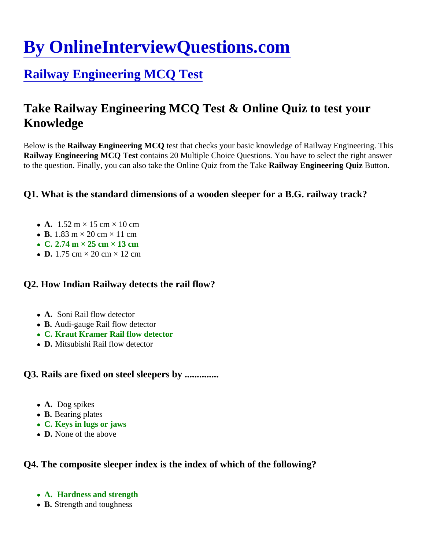# [By OnlineInterviewQuestions.com](https://www.onlineinterviewquestions.com/)

# [Railway Engineering MCQ Test](https://www.onlineinterviewquestions.com/railway-engineering-mcq/)

# Take Railway Engineering MCQ Test & Online Quiz to test your Knowledge

Below is the Railway Engineering MCQ test that checks your basic knowledge of Railway Engineering. This Railway Engineering MCQ Test contains 20 Multiple Choice Questions. You have to select the right answer to the question. Finally, you can also take the Online Quiz from the Nailweay Engineering Quiz Button.

Q1. What is the standard dimensions of a wooden sleeper for a B.G. railway track?

- A.  $1.52 \text{ m} \times 15 \text{ cm} \times 10 \text{ cm}$
- B. 1.83 m × 20 cm × 11 cm
- $\bullet$  C. 2.74 m  $\times$  25 cm  $\times$  13 cm
- D. 1.75 cm × 20 cm × 12 cm

Q2. How Indian Railway detects the rail flow?

- A. Soni Rail flow detector
- B. Audi-gauge Rail flow detector
- C. Kraut Kramer Rail flow detector
- D. Mitsubishi Rail flow detector

Q3. Rails are fixed on steel sleepers by ..............

- A. Dog spikes
- B. Bearing plates
- C. Keys in lugs or jaws
- D. None of the above

Q4. The composite sleeper index is the index of which of the following?

- A. Hardness and strength
- B. Strength and toughness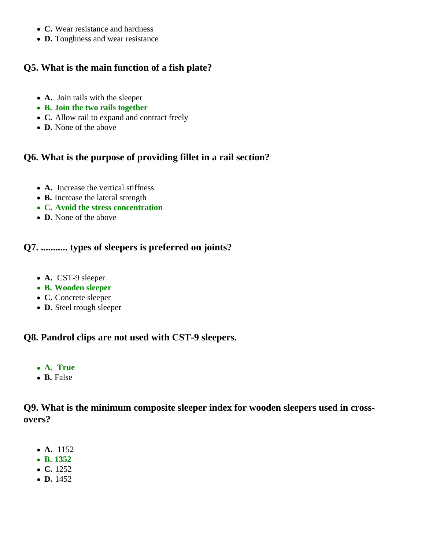- **C.** Wear resistance and hardness
- **D.** Toughness and wear resistance

## **Q5. What is the main function of a fish plate?**

- **A.** Join rails with the sleeper
- **B. Join the two rails together**
- **C.** Allow rail to expand and contract freely
- **D.** None of the above

### **Q6. What is the purpose of providing fillet in a rail section?**

- **A.** Increase the vertical stiffness
- **B.** Increase the lateral strength
- **C. Avoid the stress concentration**
- **D.** None of the above

## **Q7. ........... types of sleepers is preferred on joints?**

- **A.** CST-9 sleeper
- **B. Wooden sleeper**
- **C.** Concrete sleeper
- **D.** Steel trough sleeper

#### **Q8. Pandrol clips are not used with CST-9 sleepers.**

- **A. True**
- **B.** False

#### **Q9. What is the minimum composite sleeper index for wooden sleepers used in crossovers?**

- **A.** 1152
- **B. 1352**
- **C.** 1252
- **D.** 1452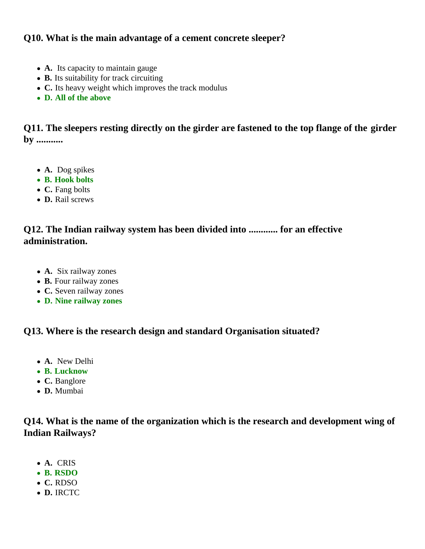#### **Q10. What is the main advantage of a cement concrete sleeper?**

- **A.** Its capacity to maintain gauge
- **B.** Its suitability for track circuiting
- **C.** Its heavy weight which improves the track modulus
- **D. All of the above**

**Q11. The sleepers resting directly on the girder are fastened to the top flange of the girder by ...........**

- **A.** Dog spikes
- **B. Hook bolts**
- **C.** Fang bolts
- **D.** Rail screws

#### **Q12. The Indian railway system has been divided into ............ for an effective administration.**

- **A.** Six railway zones
- **B.** Four railway zones
- **C.** Seven railway zones
- **D. Nine railway zones**

#### **Q13. Where is the research design and standard Organisation situated?**

- **A.** New Delhi
- **B. Lucknow**
- **C.** Banglore
- **D.** Mumbai

#### **Q14. What is the name of the organization which is the research and development wing of Indian Railways?**

- **A.** CRIS
- **B. RSDO**
- **C.** RDSO
- **D.** IRCTC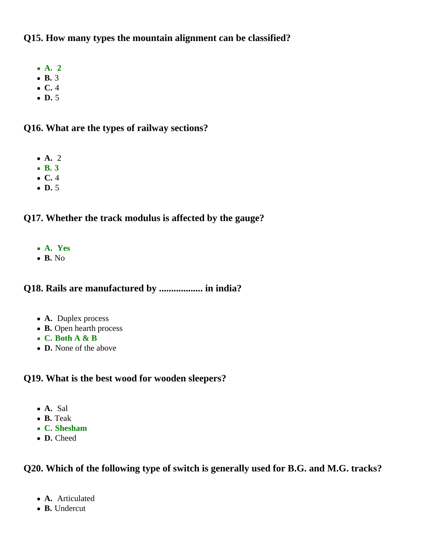#### **Q15. How many types the mountain alignment can be classified?**

- **A. 2**
- **B.** 3
- **C.** 4
- **D.** 5

#### **Q16. What are the types of railway sections?**

- **A.** 2
- **B. 3**
- **C.** 4
- **D.** 5

#### **Q17. Whether the track modulus is affected by the gauge?**

- **A. Yes**
- **B.** No

#### **Q18. Rails are manufactured by .................. in india?**

- **A.** Duplex process
- **B.** Open hearth process
- **C. Both A & B**
- **D.** None of the above

#### **Q19. What is the best wood for wooden sleepers?**

- **A.** Sal
- **B.** Teak
- **C. Shesham**
- **D.** Cheed

#### **Q20. Which of the following type of switch is generally used for B.G. and M.G. tracks?**

- **A.** Articulated
- **B.** Undercut